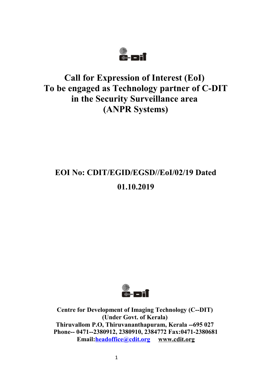

## **Call for Expression of Interest (EoI) To be engaged as Technology partner of C-DIT in the Security Surveillance area (ANPR Systems)**

# **EOI No: CDIT/EGID/EGSD//EoI/02/19 Dated 01.10.2019**



**Centre for Development of Imaging Technology (C--DIT) (Under Govt. of Kerala) Thiruvallom P.O, Thiruvananthapuram, Kerala --695 027 Phone-- 0471--2380912, 2380910, 2384772 Fax:0471-2380681 Email[:headoffice@cdit.org](mailto:headoffice@cdit.org) [www.cdit.org](http://www.cdit.org/)**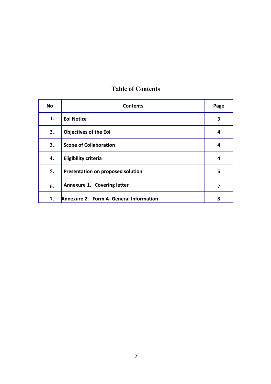| No | <b>Contents</b>                         | Page |
|----|-----------------------------------------|------|
| 1. | <b>Eol Notice</b>                       | 3    |
| 2. | <b>Objectives of the EoI</b>            | 4    |
| 3. | <b>Scope of Collaboration</b>           | 4    |
| 4. | <b>Eligibility criteria</b>             | 4    |
| 5. | Presentation on proposed solution       | 5    |
| 6. | Annexure 1. Covering letter             | 7    |
| 7. | Annexure 2. Form A- General Information | 8    |

### **Table of Contents**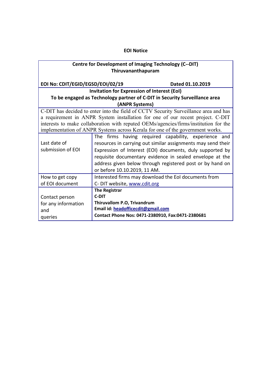#### **EOI Notice**

#### **Centre for Development of Imaging Technology (C--DIT) Thiruvananthapuram**

**EOI No: CDIT/EGID/EGSD/EOI/02/19 Dated 01.10.2019**

#### **Invitation for Expression of Interest (EoI) To be engaged as Technology partner of C-DIT in Security Surveillance area (ANPR Systems)**

C-DIT has decided to enter into the field of CCTV Security Surveillance area and has a requirement in ANPR System installation for one of our recent project. C-DIT interests to make collaboration with reputed OEMs/agencies/firms/institution for the implementation of ANPR Systems across Kerala for one of the government works.

|                                                                         | The firms having required capability, experience and         |  |  |
|-------------------------------------------------------------------------|--------------------------------------------------------------|--|--|
| Last date of                                                            | resources in carrying out similar assignments may send their |  |  |
| submission of EOI                                                       | Expression of Interest (EOI) documents, duly supported by    |  |  |
|                                                                         | requisite documentary evidence in sealed envelope at the     |  |  |
|                                                                         | address given below through registered post or by hand on    |  |  |
|                                                                         | or before 10.10.2019, 11 AM.                                 |  |  |
| Interested firms may download the EoI documents from<br>How to get copy |                                                              |  |  |
| of EOI document                                                         | C- DIT website, www.cdit.org                                 |  |  |
|                                                                         | <b>The Registrar</b>                                         |  |  |
| Contact person                                                          | <b>C-DIT</b>                                                 |  |  |
| for any information                                                     | Thiruvallom P.O, Trivandrum                                  |  |  |
| and                                                                     | Email id: headofficecdit@gmail.com                           |  |  |
| queries                                                                 | Contact Phone Nos: 0471-2380910, Fax:0471-2380681            |  |  |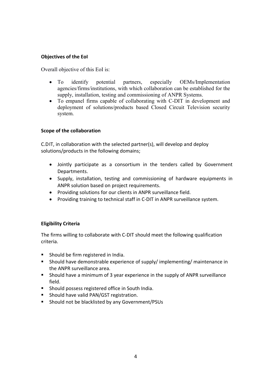#### **Objectives of the EoI**

Overall objective of this EoI is:

- To identify potential partners, especially OEMs/Implementation agencies/firms/institutions, with which collaboration can be established for the supply, installation, testing and commissioning of ANPR Systems.
- To empanel firms capable of collaborating with C-DIT in development and deployment of solutions/products based Closed Circuit Television security system.

#### **Scope of the collaboration**

C.DIT, in collaboration with the selected partner(s), will develop and deploy solutions/products in the following domains;

- Jointly participate as a consortium in the tenders called by Government Departments.
- Supply, installation, testing and commissioning of hardware equipments in ANPR solution based on project requirements.
- Providing solutions for our clients in ANPR surveillance field.
- Providing training to technical staff in C-DIT in ANPR surveillance system.

#### **Eligibility Criteria**

The firms willing to collaborate with C-DIT should meet the following qualification criteria.

- **Should be firm registered in India.**
- Should have demonstrable experience of supply/ implementing/ maintenance in the ANPR surveillance area.
- Should have a minimum of 3 year experience in the supply of ANPR surveillance field.
- **Should possess registered office in South India.**
- **Should have valid PAN/GST registration.**
- Should not be blacklisted by any Government/PSUs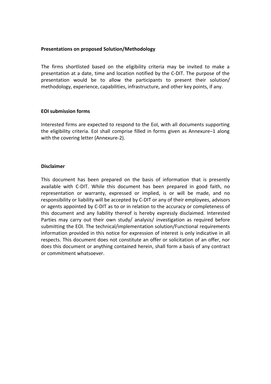#### **Presentations on proposed Solution/Methodology**

The firms shortlisted based on the eligibility criteria may be invited to make a presentation at a date, time and location notified by the C-DIT. The purpose of the presentation would be to allow the participants to present their solution/ methodology, experience, capabilities, infrastructure, and other key points, if any.

#### **EOI submission forms**

Interested firms are expected to respond to the EoI, with all documents supporting the eligibility criteria. EoI shall comprise filled in forms given as Annexure–1 along with the covering letter (Annexure-2).

#### **Disclaimer**

This document has been prepared on the basis of information that is presently available with C-DIT. While this document has been prepared in good faith, no representation or warranty, expressed or implied, is or will be made, and no responsibility or liability will be accepted by C-DIT or any of their employees, advisors or agents appointed by C-DIT as to or in relation to the accuracy or completeness of this document and any liability thereof is hereby expressly disclaimed. Interested Parties may carry out their own study/ analysis/ investigation as required before submitting the EOI. The technical/implementation solution/Functional requirements information provided in this notice for expression of interest is only indicative in all respects. This document does not constitute an offer or solicitation of an offer, nor does this document or anything contained herein, shall form a basis of any contract or commitment whatsoever.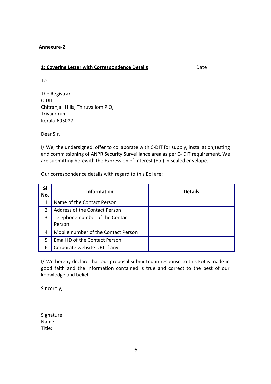#### **Annexure-2**

#### **1: Covering Letter with Correspondence Details** Date

To

The Registrar C-DIT Chitranjali Hills, Thiruvallom P.O, Trivandrum Kerala-695027

Dear Sir,

I/ We, the undersigned, offer to collaborate with C-DIT for supply, installation,testing and commissioning of ANPR Security Surveillance area as per C- DIT requirement. We are submitting herewith the Expression of Interest (EoI) in sealed envelope.

Our correspondence details with regard to this EoI are:

| <b>SI</b><br>No. | <b>Information</b>                        | <b>Details</b> |
|------------------|-------------------------------------------|----------------|
| 1                | Name of the Contact Person                |                |
| $\overline{2}$   | Address of the Contact Person             |                |
| 3                | Telephone number of the Contact<br>Person |                |
| 4                | Mobile number of the Contact Person       |                |
| 5                | Email ID of the Contact Person            |                |
| 6                | Corporate website URL if any              |                |

I/ We hereby declare that our proposal submitted in response to this EoI is made in good faith and the information contained is true and correct to the best of our knowledge and belief.

Sincerely,

Signature: Name: Title: